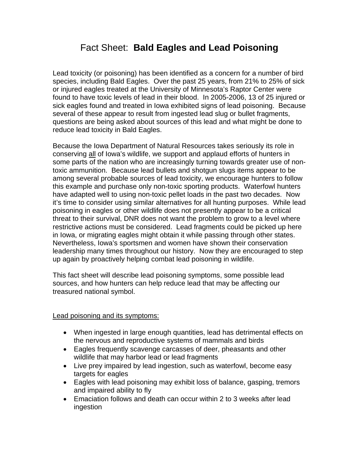# Fact Sheet: **Bald Eagles and Lead Poisoning**

Lead toxicity (or poisoning) has been identified as a concern for a number of bird species, including Bald Eagles. Over the past 25 years, from 21% to 25% of sick or injured eagles treated at the University of Minnesota's Raptor Center were found to have toxic levels of lead in their blood. In 2005-2006, 13 of 25 injured or sick eagles found and treated in Iowa exhibited signs of lead poisoning. Because several of these appear to result from ingested lead slug or bullet fragments, questions are being asked about sources of this lead and what might be done to reduce lead toxicity in Bald Eagles.

Because the Iowa Department of Natural Resources takes seriously its role in conserving all of Iowa's wildlife, we support and applaud efforts of hunters in some parts of the nation who are increasingly turning towards greater use of nontoxic ammunition. Because lead bullets and shotgun slugs items appear to be among several probable sources of lead toxicity, we encourage hunters to follow this example and purchase only non-toxic sporting products. Waterfowl hunters have adapted well to using non-toxic pellet loads in the past two decades. Now it's time to consider using similar alternatives for all hunting purposes. While lead poisoning in eagles or other wildlife does not presently appear to be a critical threat to their survival, DNR does not want the problem to grow to a level where restrictive actions must be considered. Lead fragments could be picked up here in Iowa, or migrating eagles might obtain it while passing through other states. Nevertheless, Iowa's sportsmen and women have shown their conservation leadership many times throughout our history. Now they are encouraged to step up again by proactively helping combat lead poisoning in wildlife.

This fact sheet will describe lead poisoning symptoms, some possible lead sources, and how hunters can help reduce lead that may be affecting our treasured national symbol.

#### Lead poisoning and its symptoms:

- When ingested in large enough quantities, lead has detrimental effects on the nervous and reproductive systems of mammals and birds
- Eagles frequently scavenge carcasses of deer, pheasants and other wildlife that may harbor lead or lead fragments
- Live prey impaired by lead ingestion, such as waterfowl, become easy targets for eagles
- Eagles with lead poisoning may exhibit loss of balance, gasping, tremors and impaired ability to fly
- Emaciation follows and death can occur within 2 to 3 weeks after lead ingestion